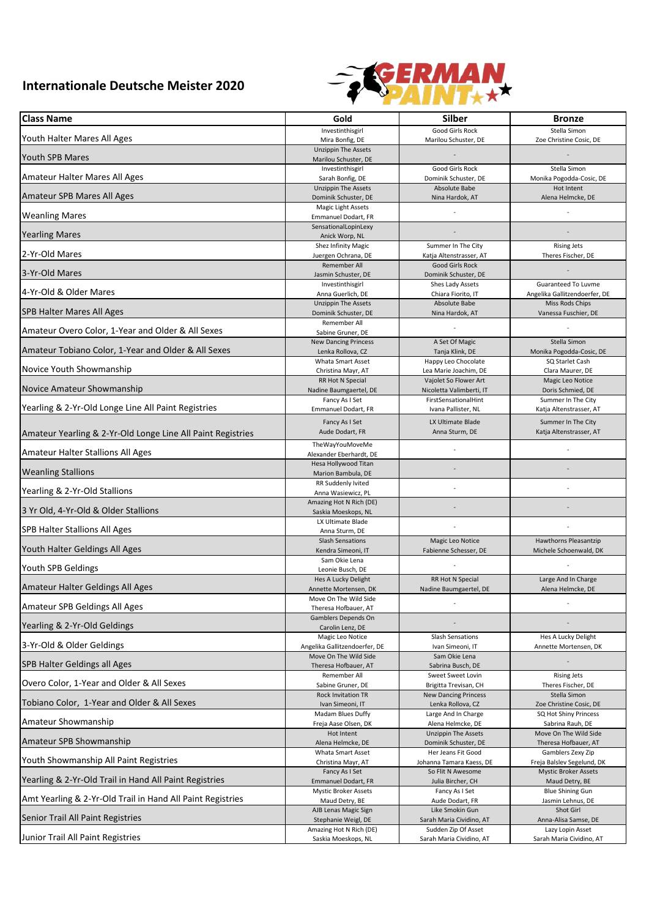## **Internationale Deutsche Meister 2020**



| <b>Class Name</b>                                           | Gold                                               | <b>Silber</b>                                        | <b>Bronze</b>                                        |
|-------------------------------------------------------------|----------------------------------------------------|------------------------------------------------------|------------------------------------------------------|
| Youth Halter Mares All Ages                                 | Investinthisgirl<br>Mira Bonfig, DE                | Good Girls Rock<br>Marilou Schuster, DE              | Stella Simon<br>Zoe Christine Cosic, DE              |
| Youth SPB Mares                                             | <b>Unzippin The Assets</b><br>Marilou Schuster, DE |                                                      |                                                      |
|                                                             | Investinthisgirl                                   | Good Girls Rock                                      | Stella Simon                                         |
| Amateur Halter Mares All Ages                               | Sarah Bonfig, DE<br><b>Unzippin The Assets</b>     | Dominik Schuster, DE<br>Absolute Babe                | Monika Pogodda-Cosic, DE<br>Hot Intent               |
| Amateur SPB Mares All Ages                                  | Dominik Schuster, DE                               | Nina Hardok, AT                                      | Alena Helmcke, DE                                    |
| <b>Weanling Mares</b>                                       | Magic Light Assets<br>Emmanuel Dodart, FR          |                                                      |                                                      |
| <b>Yearling Mares</b>                                       | SensationalLopinLexy<br>Anick Worp, NL             |                                                      |                                                      |
| 2-Yr-Old Mares                                              | Shez Infinity Magic<br>Juergen Ochrana, DE         | Summer In The City<br>Katja Altenstrasser, AT        | <b>Rising Jets</b><br>Theres Fischer, DE             |
| 3-Yr-Old Mares                                              | Remember All<br>Jasmin Schuster, DE                | Good Girls Rock<br>Dominik Schuster, DE              |                                                      |
| 4-Yr-Old & Older Mares                                      | Investinthisgirl<br>Anna Guerlich, DE              | Shes Lady Assets<br>Chiara Fiorito, IT               | Guaranteed To Luvme<br>Angelika Gallitzendoerfer, DE |
| SPB Halter Mares All Ages                                   | <b>Unzippin The Assets</b><br>Dominik Schuster, DE | Absolute Babe<br>Nina Hardok, AT                     | Miss Rods Chips<br>Vanessa Fuschier, DE              |
|                                                             | <b>Remember All</b>                                |                                                      |                                                      |
| Amateur Overo Color, 1-Year and Older & All Sexes           | Sabine Gruner, DE<br><b>New Dancing Princess</b>   | A Set Of Magic                                       | Stella Simon                                         |
| Amateur Tobiano Color, 1-Year and Older & All Sexes         | Lenka Rollova, CZ                                  | Tanja Klink, DE                                      | Monika Pogodda-Cosic, DE                             |
|                                                             | <b>Whata Smart Asset</b>                           | Happy Leo Chocolate                                  | SQ Starlet Cash                                      |
| Novice Youth Showmanship                                    | Christina Mayr, AT<br>RR Hot N Special             | Lea Marie Joachim, DE<br>Vajolet So Flower Art       | Clara Maurer, DE<br>Magic Leo Notice                 |
| Novice Amateur Showmanship                                  | Nadine Baumgaertel, DE                             | Nicoletta Valimberti, IT                             | Doris Schmied, DE                                    |
|                                                             | Fancy As I Set                                     | FirstSensationalHint                                 | Summer In The City                                   |
| Yearling & 2-Yr-Old Longe Line All Paint Registries         | Emmanuel Dodart, FR                                | Ivana Pallister, NL                                  | Katja Altenstrasser, AT                              |
| Amateur Yearling & 2-Yr-Old Longe Line All Paint Registries | Fancy As I Set<br>Aude Dodart, FR                  | LX Ultimate Blade<br>Anna Sturm, DE                  | Summer In The City<br>Katja Altenstrasser, AT        |
| Amateur Halter Stallions All Ages                           | TheWayYouMoveMe<br>Alexander Eberhardt, DE         |                                                      |                                                      |
| <b>Weanling Stallions</b>                                   | Hesa Hollywood Titan                               |                                                      |                                                      |
|                                                             | Marion Bambula, DE<br>RR Suddenly Ivited           |                                                      |                                                      |
| Yearling & 2-Yr-Old Stallions                               | Anna Wasiewicz, PL                                 |                                                      |                                                      |
| 3 Yr Old, 4-Yr-Old & Older Stallions                        | Amazing Hot N Rich (DE)<br>Saskia Moeskops, NL     |                                                      |                                                      |
| SPB Halter Stallions All Ages                               | LX Ultimate Blade<br>Anna Sturm, DE                |                                                      |                                                      |
| Youth Halter Geldings All Ages                              | <b>Slash Sensations</b><br>Kendra Simeoni, IT      | Magic Leo Notice<br>Fabienne Schesser, DE            | Hawthorns Pleasantzip<br>Michele Schoenwald, DK      |
| Youth SPB Geldings                                          | Sam Okie Lena<br>Leonie Busch, DE                  |                                                      |                                                      |
| Amateur Halter Geldings All Ages                            | Hes A Lucky Delight<br>Annette Mortensen, DK       | RR Hot N Special<br>Nadine Baumgaertel, DE           | Large And In Charge<br>Alena Helmcke, DE             |
| Amateur SPB Geldings All Ages                               | Move On The Wild Side<br>Theresa Hofbauer, AT      |                                                      |                                                      |
| Yearling & 2-Yr-Old Geldings                                | Gamblers Depends On<br>Carolin Lenz, DE            |                                                      |                                                      |
| 3-Yr-Old & Older Geldings                                   | Magic Leo Notice<br>Angelika Gallitzendoerfer, DE  | Slash Sensations<br>Ivan Simeoni, IT                 | Hes A Lucky Delight<br>Annette Mortensen, DK         |
| SPB Halter Geldings all Ages                                | Move On The Wild Side<br>Theresa Hofbauer, AT      | Sam Okie Lena<br>Sabrina Busch, DE                   |                                                      |
|                                                             | Remember All                                       | Sweet Sweet Lovin                                    | <b>Rising Jets</b>                                   |
| Overo Color, 1-Year and Older & All Sexes                   | Sabine Gruner, DE<br><b>Rock Invitation TR</b>     | Brigitta Trevisan, CH<br><b>New Dancing Princess</b> | Theres Fischer, DE<br>Stella Simon                   |
| Tobiano Color, 1-Year and Older & All Sexes                 | Ivan Simeoni, IT                                   | Lenka Rollova, CZ                                    | Zoe Christine Cosic, DE<br>SQ Hot Shiny Princess     |
| Amateur Showmanship                                         | Madam Blues Duffy<br>Freja Aase Olsen, DK          | Large And In Charge<br>Alena Helmcke, DE             | Sabrina Rauh, DE                                     |
| Amateur SPB Showmanship                                     | Hot Intent<br>Alena Helmcke, DE                    | <b>Unzippin The Assets</b><br>Dominik Schuster, DE   | Move On The Wild Side<br>Theresa Hofbauer, AT        |
| Youth Showmanship All Paint Registries                      | Whata Smart Asset<br>Christina Mayr, AT            | Her Jeans Fit Good<br>Johanna Tamara Kaess, DE       | Gamblers Zexy Zip<br>Freja Balslev Segelund, DK      |
| Yearling & 2-Yr-Old Trail in Hand All Paint Registries      | Fancy As I Set<br>Emmanuel Dodart, FR              | So Flit N Awesome<br>Julia Bircher, CH               | <b>Mystic Broker Assets</b><br>Maud Detry, BE        |
| Amt Yearling & 2-Yr-Old Trail in Hand All Paint Registries  | <b>Mystic Broker Assets</b><br>Maud Detry, BE      | Fancy As I Set<br>Aude Dodart, FR                    | <b>Blue Shining Gun</b><br>Jasmin Lehnus, DE         |
| Senior Trail All Paint Registries                           | AJB Lenas Magic Sign<br>Stephanie Weigl, DE        | Like Smokin Gun<br>Sarah Maria Cividino, AT          | Shot Girl<br>Anna-Alisa Samse, DE                    |
|                                                             | Amazing Hot N Rich (DE)                            | Sudden Zip Of Asset                                  | Lazy Lopin Asset                                     |
| Junior Trail All Paint Registries                           | Saskia Moeskops, NL                                | Sarah Maria Cividino, AT                             | Sarah Maria Cividino, AT                             |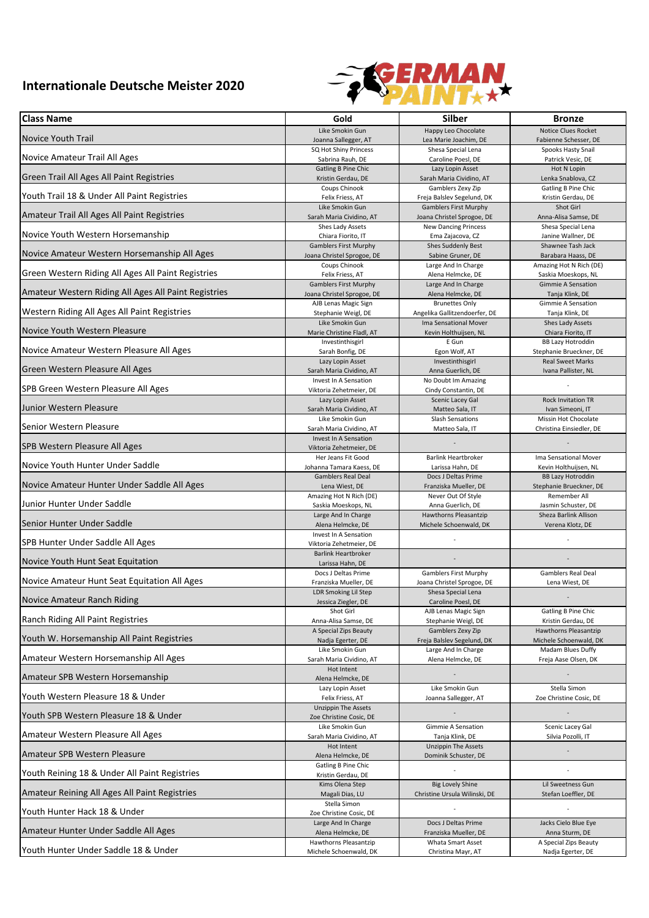## **Internationale Deutsche Meister 2020**



| <b>Class Name</b>                                    | Gold                                                  | Silber                                       | <b>Bronze</b>                             |
|------------------------------------------------------|-------------------------------------------------------|----------------------------------------------|-------------------------------------------|
| <b>Novice Youth Trail</b>                            | Like Smokin Gun                                       | Happy Leo Chocolate                          | <b>Notice Clues Rocket</b>                |
|                                                      | Joanna Sallegger, AT                                  | Lea Marie Joachim, DE                        | Fabienne Schesser, DE                     |
| Novice Amateur Trail All Ages                        | SQ Hot Shiny Princess                                 | Shesa Special Lena                           | Spooks Hasty Snail                        |
|                                                      | Sabrina Rauh, DE                                      | Caroline Poesl, DE                           | Patrick Vesic, DE                         |
| Green Trail All Ages All Paint Registries            | <b>Gatling B Pine Chic</b>                            | Lazy Lopin Asset<br>Sarah Maria Cividino, AT | Hot N Lopin                               |
|                                                      | Kristin Gerdau, DE<br>Coups Chinook                   | Gamblers Zexy Zip                            | Lenka Snablova, CZ<br>Gatling B Pine Chic |
| Youth Trail 18 & Under All Paint Registries          | Felix Friess, AT                                      | Freja Balslev Segelund, DK                   | Kristin Gerdau, DE                        |
|                                                      | Like Smokin Gun                                       | <b>Gamblers First Murphy</b>                 | Shot Girl                                 |
| Amateur Trail All Ages All Paint Registries          | Sarah Maria Cividino, AT                              | Joana Christel Sprogoe, DE                   | Anna-Alisa Samse, DE                      |
|                                                      | Shes Lady Assets                                      | <b>New Dancing Princess</b>                  | Shesa Special Lena                        |
| Novice Youth Western Horsemanship                    | Chiara Fiorito, IT                                    | Ema Zajacova, CZ                             | Janine Wallner, DE                        |
| Novice Amateur Western Horsemanship All Ages         | <b>Gamblers First Murphy</b>                          | Shes Suddenly Best                           | Shawnee Tash Jack                         |
|                                                      | Joana Christel Sprogoe, DE                            | Sabine Gruner, DE                            | Barabara Haass, DE                        |
| Green Western Riding All Ages All Paint Registries   | Coups Chinook                                         | Large And In Charge                          | Amazing Hot N Rich (DE)                   |
|                                                      | Felix Friess, AT                                      | Alena Helmcke, DE                            | Saskia Moeskops, NL                       |
| Amateur Western Riding All Ages All Paint Registries | <b>Gamblers First Murphy</b>                          | Large And In Charge                          | Gimmie A Sensation                        |
|                                                      | Joana Christel Sprogoe, DE                            | Alena Helmcke, DE                            | Tanja Klink, DE                           |
| Western Riding All Ages All Paint Registries         | AJB Lenas Magic Sign                                  | <b>Brunettes Only</b>                        | Gimmie A Sensation                        |
|                                                      | Stephanie Weigl, DE                                   | Angelika Gallitzendoerfer, DE                | Tanja Klink, DE                           |
|                                                      | Like Smokin Gun                                       | Ima Sensational Mover                        | Shes Lady Assets                          |
| Novice Youth Western Pleasure                        | Marie Christine Fladl, AT                             | Kevin Holthuijsen, NL                        | Chiara Fiorito, IT                        |
|                                                      | Investinthisgirl                                      | E Gun                                        | <b>BB Lazy Hotroddin</b>                  |
| Novice Amateur Western Pleasure All Ages             | Sarah Bonfig, DE                                      | Egon Wolf, AT                                | Stephanie Brueckner, DE                   |
|                                                      | Lazy Lopin Asset                                      | Investinthisgirl                             | <b>Real Sweet Marks</b>                   |
| Green Western Pleasure All Ages                      | Sarah Maria Cividino, AT                              | Anna Guerlich, DE                            | Ivana Pallister, NL                       |
| SPB Green Western Pleasure All Ages                  | Invest In A Sensation<br>Viktoria Zehetmeier, DE      | No Doubt Im Amazing<br>Cindy Constantin, DE  |                                           |
| Junior Western Pleasure                              | Lazy Lopin Asset                                      | Scenic Lacey Gal                             | <b>Rock Invitation TR</b>                 |
|                                                      | Sarah Maria Cividino, AT                              | Matteo Sala, IT                              | Ivan Simeoni, IT                          |
| Senior Western Pleasure                              | Like Smokin Gun                                       | <b>Slash Sensations</b>                      | Missin Hot Chocolate                      |
|                                                      | Sarah Maria Cividino, AT                              | Matteo Sala, IT                              | Christina Einsiedler, DE                  |
| SPB Western Pleasure All Ages                        | Invest In A Sensation                                 |                                              |                                           |
|                                                      | Viktoria Zehetmeier, DE<br>Her Jeans Fit Good         | <b>Barlink Heartbroker</b>                   | Ima Sensational Mover                     |
| Novice Youth Hunter Under Saddle                     | Johanna Tamara Kaess, DE                              | Larissa Hahn, DE                             | Kevin Holthuijsen, NL                     |
|                                                      | <b>Gamblers Real Deal</b>                             | Docs J Deltas Prime                          | <b>BB Lazy Hotroddin</b>                  |
| Novice Amateur Hunter Under Saddle All Ages          | Lena Wiest, DE                                        | Franziska Mueller, DE                        | Stephanie Brueckner, DE                   |
|                                                      | Amazing Hot N Rich (DE)                               | Never Out Of Style                           | Remember All                              |
| Junior Hunter Under Saddle                           | Saskia Moeskops, NL                                   | Anna Guerlich, DE                            | Jasmin Schuster, DE                       |
| Senior Hunter Under Saddle                           | Large And In Charge                                   | Hawthorns Pleasantzip                        | Sheza Barlink Allison                     |
|                                                      | Alena Helmcke, DE                                     | Michele Schoenwald, DK                       | Verena Klotz, DE                          |
| SPB Hunter Under Saddle All Ages                     | Invest In A Sensation<br>Viktoria Zehetmeier, DE      |                                              |                                           |
| Novice Youth Hunt Seat Equitation                    | <b>Barlink Heartbroker</b><br>Larissa Hahn, DE        |                                              |                                           |
| Novice Amateur Hunt Seat Equitation All Ages         | Docs J Deltas Prime                                   | <b>Gamblers First Murphy</b>                 | Gamblers Real Deal                        |
|                                                      | Franziska Mueller, DE                                 | Joana Christel Sprogoe, DE                   | Lena Wiest, DE                            |
| Novice Amateur Ranch Riding                          | LDR Smoking Lil Step                                  | Shesa Special Lena                           |                                           |
|                                                      | Jessica Ziegler, DE<br>Shot Girl                      | Caroline Poesl, DE<br>AJB Lenas Magic Sign   | Gatling B Pine Chic                       |
| Ranch Riding All Paint Registries                    | Anna-Alisa Samse, DE                                  | Stephanie Weigl, DE                          | Kristin Gerdau, DE                        |
|                                                      | A Special Zips Beauty                                 | Gamblers Zexy Zip                            | Hawthorns Pleasantzip                     |
| Youth W. Horsemanship All Paint Registries           | Nadja Egerter, DE                                     | Freja Balslev Segelund, DK                   | Michele Schoenwald, DK                    |
|                                                      | Like Smokin Gun                                       | Large And In Charge                          | Madam Blues Duffy                         |
| Amateur Western Horsemanship All Ages                | Sarah Maria Cividino, AT                              | Alena Helmcke, DE                            | Freja Aase Olsen, DK                      |
| Amateur SPB Western Horsemanship                     | Hot Intent<br>Alena Helmcke, DE                       |                                              |                                           |
| Youth Western Pleasure 18 & Under                    | Lazy Lopin Asset                                      | Like Smokin Gun                              | Stella Simon                              |
|                                                      | Felix Friess, AT                                      | Joanna Sallegger, AT                         | Zoe Christine Cosic, DE                   |
| Youth SPB Western Pleasure 18 & Under                | <b>Unzippin The Assets</b><br>Zoe Christine Cosic, DE |                                              |                                           |
| Amateur Western Pleasure All Ages                    | Like Smokin Gun                                       | Gimmie A Sensation                           | Scenic Lacey Gal                          |
|                                                      | Sarah Maria Cividino, AT                              | Tanja Klink, DE                              | Silvia Pozolli, IT                        |
| Amateur SPB Western Pleasure                         | Hot Intent                                            | <b>Unzippin The Assets</b>                   |                                           |
|                                                      | Alena Helmcke, DE<br>Gatling B Pine Chic              | Dominik Schuster, DE                         |                                           |
| Youth Reining 18 & Under All Paint Registries        | Kristin Gerdau, DE<br>Kims Olena Step                 | <b>Big Lovely Shine</b>                      | Lil Sweetness Gun                         |
| Amateur Reining All Ages All Paint Registries        | Magali Dias, LU<br>Stella Simon                       | Christine Ursula Wilinski, DE                | Stefan Loeffler, DE                       |
| Youth Hunter Hack 18 & Under                         | Zoe Christine Cosic, DE                               |                                              |                                           |
| Amateur Hunter Under Saddle All Ages                 | Large And In Charge                                   | Docs J Deltas Prime                          | Jacks Cielo Blue Eye                      |
|                                                      | Alena Helmcke, DE                                     | Franziska Mueller, DE                        | Anna Sturm, DE                            |
| Youth Hunter Under Saddle 18 & Under                 | Hawthorns Pleasantzip                                 | Whata Smart Asset                            | A Special Zips Beauty                     |
|                                                      | Michele Schoenwald, DK                                | Christina Mayr, AT                           | Nadja Egerter, DE                         |